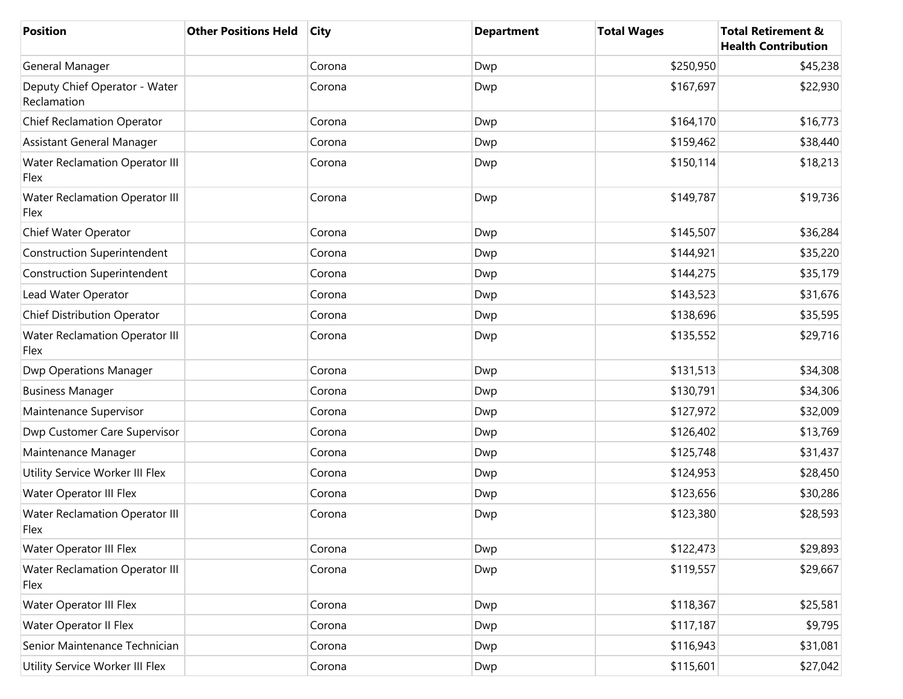| <b>Position</b>                               | <b>Other Positions Held</b> | <b>City</b> | <b>Department</b> | <b>Total Wages</b> | <b>Total Retirement &amp;</b><br><b>Health Contribution</b> |
|-----------------------------------------------|-----------------------------|-------------|-------------------|--------------------|-------------------------------------------------------------|
| General Manager                               |                             | Corona      | Dwp               | \$250,950          | \$45,238                                                    |
| Deputy Chief Operator - Water<br>Reclamation  |                             | Corona      | Dwp               | \$167,697          | \$22,930                                                    |
| <b>Chief Reclamation Operator</b>             |                             | Corona      | Dwp               | \$164,170          | \$16,773                                                    |
| Assistant General Manager                     |                             | Corona      | Dwp               | \$159,462          | \$38,440                                                    |
| <b>Water Reclamation Operator III</b><br>Flex |                             | Corona      | Dwp               | \$150,114          | \$18,213                                                    |
| <b>Water Reclamation Operator III</b><br>Flex |                             | Corona      | Dwp               | \$149,787          | \$19,736                                                    |
| Chief Water Operator                          |                             | Corona      | Dwp               | \$145,507          | \$36,284                                                    |
| <b>Construction Superintendent</b>            |                             | Corona      | Dwp               | \$144,921          | \$35,220                                                    |
| <b>Construction Superintendent</b>            |                             | Corona      | Dwp               | \$144,275          | \$35,179                                                    |
| Lead Water Operator                           |                             | Corona      | Dwp               | \$143,523          | \$31,676                                                    |
| Chief Distribution Operator                   |                             | Corona      | Dwp               | \$138,696          | \$35,595                                                    |
| <b>Water Reclamation Operator III</b><br>Flex |                             | Corona      | Dwp               | \$135,552          | \$29,716                                                    |
| <b>Dwp Operations Manager</b>                 |                             | Corona      | Dwp               | \$131,513          | \$34,308                                                    |
| <b>Business Manager</b>                       |                             | Corona      | Dwp               | \$130,791          | \$34,306                                                    |
| Maintenance Supervisor                        |                             | Corona      | Dwp               | \$127,972          | \$32,009                                                    |
| Dwp Customer Care Supervisor                  |                             | Corona      | Dwp               | \$126,402          | \$13,769                                                    |
| Maintenance Manager                           |                             | Corona      | Dwp               | \$125,748          | \$31,437                                                    |
| Utility Service Worker III Flex               |                             | Corona      | Dwp               | \$124,953          | \$28,450                                                    |
| Water Operator III Flex                       |                             | Corona      | Dwp               | \$123,656          | \$30,286                                                    |
| <b>Water Reclamation Operator III</b><br>Flex |                             | Corona      | Dwp               | \$123,380          | \$28,593                                                    |
| <b>Water Operator III Flex</b>                |                             | Corona      | Dwp               | \$122,473          | \$29,893                                                    |
| <b>Water Reclamation Operator III</b><br>Flex |                             | Corona      | Dwp               | \$119,557          | \$29,667                                                    |
| Water Operator III Flex                       |                             | Corona      | Dwp               | \$118,367          | \$25,581                                                    |
| Water Operator II Flex                        |                             | Corona      | Dwp               | \$117,187          | \$9,795                                                     |
| Senior Maintenance Technician                 |                             | Corona      | Dwp               | \$116,943          | \$31,081                                                    |
| Utility Service Worker III Flex               |                             | Corona      | Dwp               | \$115,601          | \$27,042                                                    |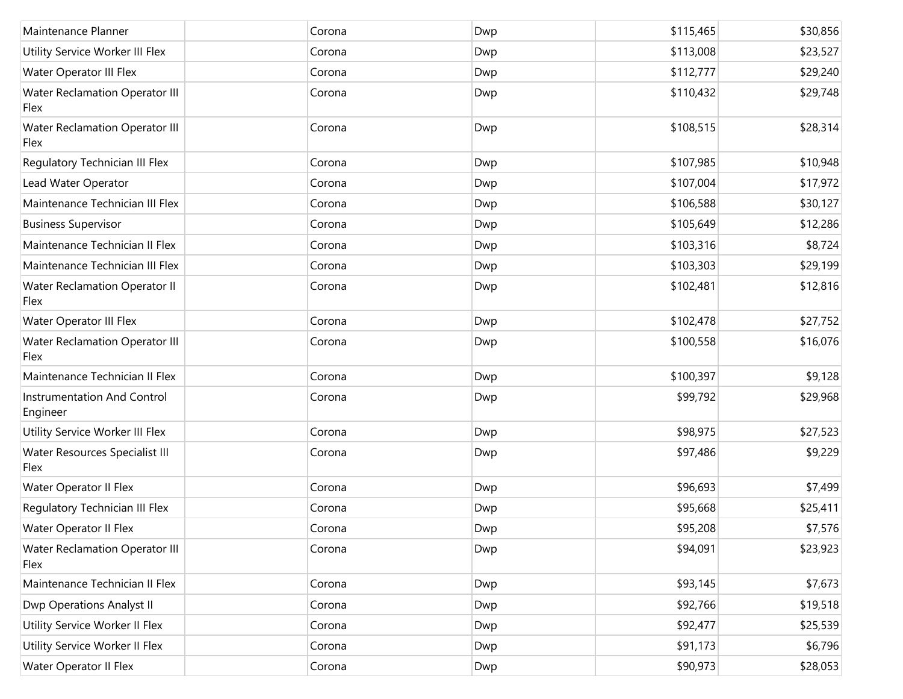| Maintenance Planner                            | Corona | Dwp | \$115,465 | \$30,856 |
|------------------------------------------------|--------|-----|-----------|----------|
| Utility Service Worker III Flex                | Corona | Dwp | \$113,008 | \$23,527 |
| Water Operator III Flex                        | Corona | Dwp | \$112,777 | \$29,240 |
| <b>Water Reclamation Operator III</b><br>Flex  | Corona | Dwp | \$110,432 | \$29,748 |
| <b>Water Reclamation Operator III</b><br>Flex  | Corona | Dwp | \$108,515 | \$28,314 |
| Regulatory Technician III Flex                 | Corona | Dwp | \$107,985 | \$10,948 |
| Lead Water Operator                            | Corona | Dwp | \$107,004 | \$17,972 |
| Maintenance Technician III Flex                | Corona | Dwp | \$106,588 | \$30,127 |
| <b>Business Supervisor</b>                     | Corona | Dwp | \$105,649 | \$12,286 |
| Maintenance Technician II Flex                 | Corona | Dwp | \$103,316 | \$8,724  |
| Maintenance Technician III Flex                | Corona | Dwp | \$103,303 | \$29,199 |
| <b>Water Reclamation Operator II</b><br>Flex   | Corona | Dwp | \$102,481 | \$12,816 |
| Water Operator III Flex                        | Corona | Dwp | \$102,478 | \$27,752 |
| <b>Water Reclamation Operator III</b><br>Flex  | Corona | Dwp | \$100,558 | \$16,076 |
| Maintenance Technician II Flex                 | Corona | Dwp | \$100,397 | \$9,128  |
| <b>Instrumentation And Control</b><br>Engineer | Corona | Dwp | \$99,792  | \$29,968 |
| Utility Service Worker III Flex                | Corona | Dwp | \$98,975  | \$27,523 |
| Water Resources Specialist III<br>Flex         | Corona | Dwp | \$97,486  | \$9,229  |
| Water Operator II Flex                         | Corona | Dwp | \$96,693  | \$7,499  |
| Regulatory Technician III Flex                 | Corona | Dwp | \$95,668  | \$25,411 |
| Water Operator II Flex                         | Corona | Dwp | \$95,208  | \$7,576  |
| <b>Water Reclamation Operator III</b><br>Flex  | Corona | Dwp | \$94,091  | \$23,923 |
| Maintenance Technician II Flex                 | Corona | Dwp | \$93,145  | \$7,673  |
| <b>Dwp Operations Analyst II</b>               | Corona | Dwp | \$92,766  | \$19,518 |
| Utility Service Worker II Flex                 | Corona | Dwp | \$92,477  | \$25,539 |
| Utility Service Worker II Flex                 | Corona | Dwp | \$91,173  | \$6,796  |
| Water Operator II Flex                         | Corona | Dwp | \$90,973  | \$28,053 |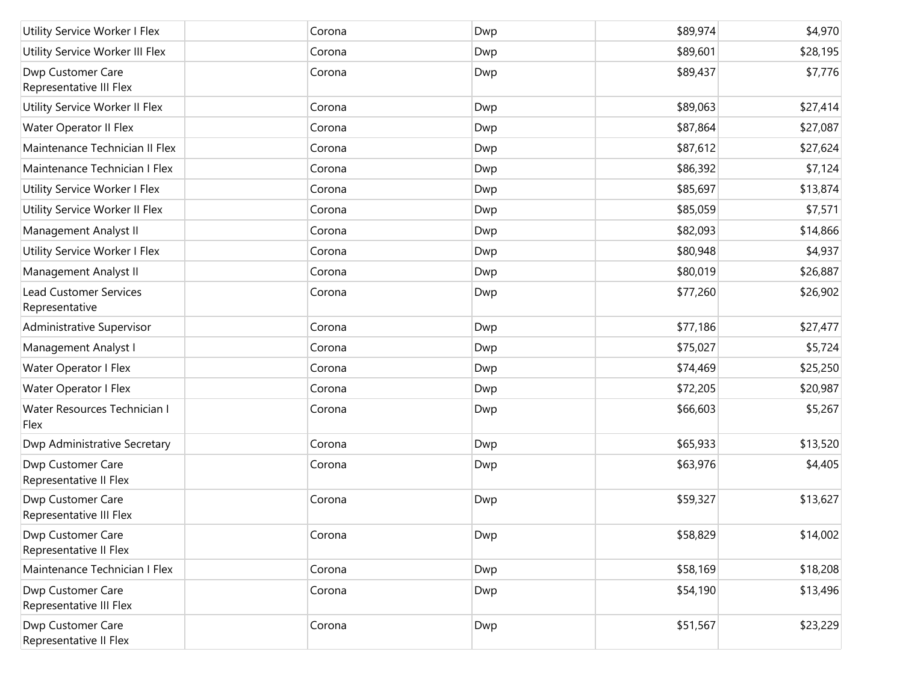| Utility Service Worker I Flex                   | Corona | Dwp | \$89,974 | \$4,970  |
|-------------------------------------------------|--------|-----|----------|----------|
| Utility Service Worker III Flex                 | Corona | Dwp | \$89,601 | \$28,195 |
| Dwp Customer Care<br>Representative III Flex    | Corona | Dwp | \$89,437 | \$7,776  |
| Utility Service Worker II Flex                  | Corona | Dwp | \$89,063 | \$27,414 |
| Water Operator II Flex                          | Corona | Dwp | \$87,864 | \$27,087 |
| Maintenance Technician II Flex                  | Corona | Dwp | \$87,612 | \$27,624 |
| Maintenance Technician I Flex                   | Corona | Dwp | \$86,392 | \$7,124  |
| Utility Service Worker I Flex                   | Corona | Dwp | \$85,697 | \$13,874 |
| Utility Service Worker II Flex                  | Corona | Dwp | \$85,059 | \$7,571  |
| Management Analyst II                           | Corona | Dwp | \$82,093 | \$14,866 |
| Utility Service Worker I Flex                   | Corona | Dwp | \$80,948 | \$4,937  |
| Management Analyst II                           | Corona | Dwp | \$80,019 | \$26,887 |
| <b>Lead Customer Services</b><br>Representative | Corona | Dwp | \$77,260 | \$26,902 |
| Administrative Supervisor                       | Corona | Dwp | \$77,186 | \$27,477 |
| Management Analyst I                            | Corona | Dwp | \$75,027 | \$5,724  |
| Water Operator I Flex                           | Corona | Dwp | \$74,469 | \$25,250 |
| Water Operator I Flex                           | Corona | Dwp | \$72,205 | \$20,987 |
| Water Resources Technician I<br>Flex            | Corona | Dwp | \$66,603 | \$5,267  |
| Dwp Administrative Secretary                    | Corona | Dwp | \$65,933 | \$13,520 |
| Dwp Customer Care<br>Representative II Flex     | Corona | Dwp | \$63,976 | \$4,405  |
| Dwp Customer Care<br>Representative III Flex    | Corona | Dwp | \$59,327 | \$13,627 |
| Dwp Customer Care<br>Representative II Flex     | Corona | Dwp | \$58,829 | \$14,002 |
| Maintenance Technician I Flex                   | Corona | Dwp | \$58,169 | \$18,208 |
| Dwp Customer Care<br>Representative III Flex    | Corona | Dwp | \$54,190 | \$13,496 |
| Dwp Customer Care<br>Representative II Flex     | Corona | Dwp | \$51,567 | \$23,229 |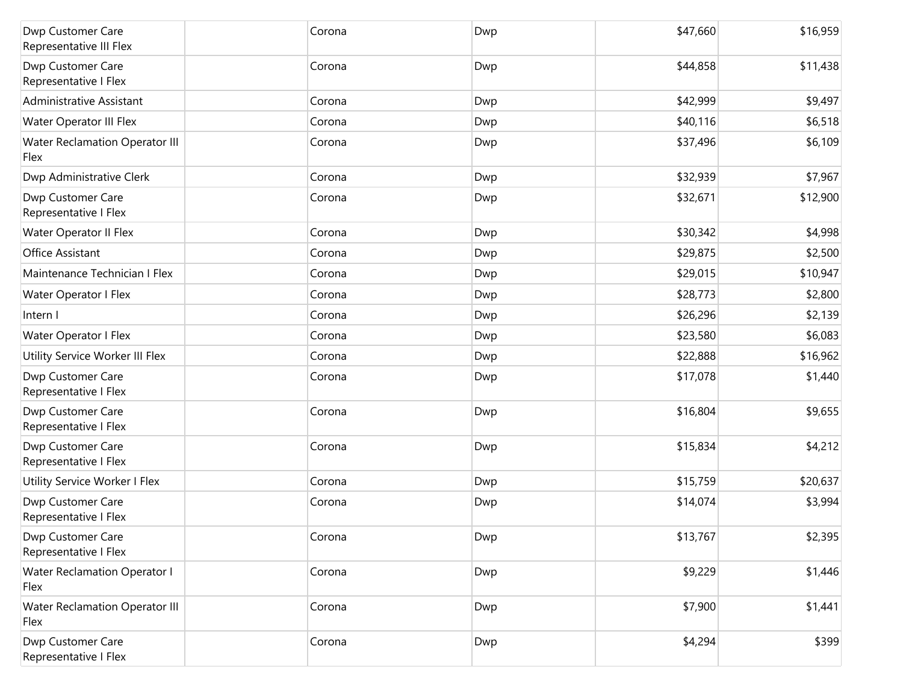| Dwp Customer Care<br>Representative III Flex  | Corona |        | Dwp | \$47,660 | \$16,959 |
|-----------------------------------------------|--------|--------|-----|----------|----------|
| Dwp Customer Care<br>Representative I Flex    | Corona |        | Dwp | \$44,858 | \$11,438 |
| Administrative Assistant                      |        | Corona | Dwp | \$42,999 | \$9,497  |
| Water Operator III Flex                       |        | Corona | Dwp | \$40,116 | \$6,518  |
| Water Reclamation Operator III<br>Flex        |        | Corona | Dwp | \$37,496 | \$6,109  |
| Dwp Administrative Clerk                      |        | Corona | Dwp | \$32,939 | \$7,967  |
| Dwp Customer Care<br>Representative I Flex    |        | Corona | Dwp | \$32,671 | \$12,900 |
| Water Operator II Flex                        | Corona |        | Dwp | \$30,342 | \$4,998  |
| Office Assistant                              | Corona |        | Dwp | \$29,875 | \$2,500  |
| Maintenance Technician I Flex                 | Corona |        | Dwp | \$29,015 | \$10,947 |
| Water Operator I Flex                         | Corona |        | Dwp | \$28,773 | \$2,800  |
| Intern I                                      | Corona |        | Dwp | \$26,296 | \$2,139  |
| Water Operator I Flex                         | Corona |        | Dwp | \$23,580 | \$6,083  |
| Utility Service Worker III Flex               | Corona |        | Dwp | \$22,888 | \$16,962 |
| Dwp Customer Care<br>Representative I Flex    | Corona |        | Dwp | \$17,078 | \$1,440  |
| Dwp Customer Care<br>Representative I Flex    | Corona |        | Dwp | \$16,804 | \$9,655  |
| Dwp Customer Care<br>Representative I Flex    | Corona |        | Dwp | \$15,834 | \$4,212  |
| Utility Service Worker I Flex                 |        | Corona | Dwp | \$15,759 | \$20,637 |
| Dwp Customer Care<br>Representative I Flex    | Corona |        | Dwp | \$14,074 | \$3,994  |
| Dwp Customer Care<br>Representative I Flex    | Corona |        | Dwp | \$13,767 | \$2,395  |
| <b>Water Reclamation Operator I</b><br>Flex   |        | Corona | Dwp | \$9,229  | \$1,446  |
| <b>Water Reclamation Operator III</b><br>Flex |        | Corona | Dwp | \$7,900  | \$1,441  |
| Dwp Customer Care<br>Representative I Flex    |        | Corona | Dwp | \$4,294  | \$399    |